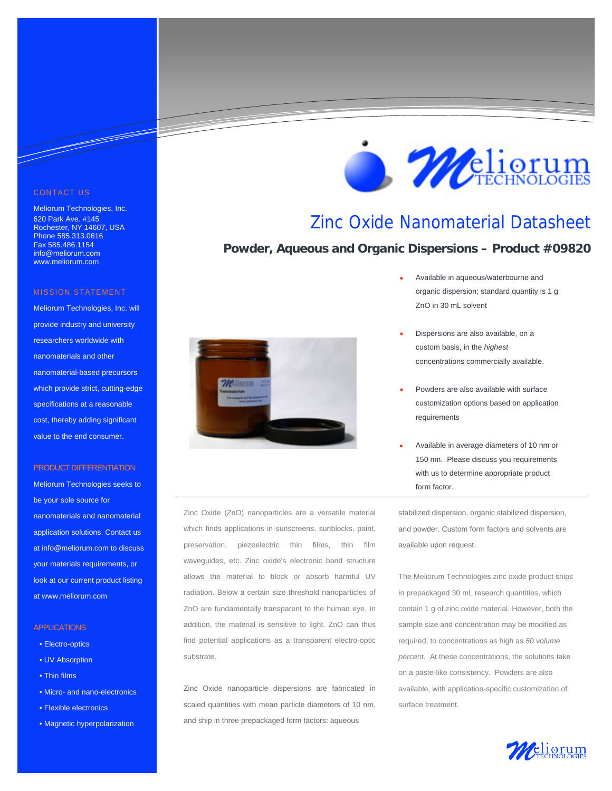#### CONTACT US

<u> Santa Barata Barata Barata Barata Barata Barata Barata Barata Barata Barata Barata Barata Barata Barata Barata Barata Barata Barata Barata Barata Barata Barata Barata Barata Barata Barata Barata Barata Barata Barata Bara</u>

Meliorum Technologies, Inc. 620 Park Ave. #145 Rochester, NY 14607, USA Phone 585.313.0616 Fax 585.486.1154 info@meliorum.com www.meliorum.com

#### MISSION STATEMENT

Meliorum Technologies, Inc. will provide industry and university researchers worldwide with nanomaterials and other nanomaterial-based precursors which provide strict, cutting-edge specifications at a reasonable cost, thereby adding significant value to the end consumer.

#### PRODUCT DIFFERENTIATION

Meliorum Technologies seeks to be your sole source for nanomaterials and nanomaterial application solutions. Contact us at info@meliorum.com to discuss your materials requirements, or look at our current product listing at www.meliorum.com

#### **APPLICATIONS**

- Electro-optics
- UV Absorption
- Thin films
- Micro- and nano-electronics
- Flexible electronics
- Magnetic hyperpolarization



Zinc Oxide (ZnO) nanoparticles are a versatile material which finds applications in sunscreens, sunblocks, paint, preservation, piezoelectric thin films, thin film waveguides, etc. Zinc oxide's electronic band structure allows the material to block or absorb harmful UV radiation. Below a certain size threshold nanoparticles of ZnO are fundamentally transparent to the human eye. In addition, the material is sensitive to light. ZnO can thus find potential applications as a transparent electro-optic substrate.

Zinc Oxide nanoparticle dispersions are fabricated in scaled quantities with mean particle diameters of 10 nm, and ship in three prepackaged form factors: aqueous



### Zinc Oxide Nanomaterial Datasheet

### **Powder, Aqueous and Organic Dispersions – Product #09820**

- Available in aqueous/waterbourne and organic dispersion; standard quantity is 1 g ZnO in 30 mL solvent
- Dispersions are also available, on a custom basis, in the *highest*  concentrations commercially available.
- Powders are also available with surface customization options based on application requirements
- Available in average diameters of 10 nm or 150 nm. Please discuss you requirements with us to determine appropriate product form factor.

stabilized dispersion, organic stabilized dispersion, and powder. Custom form factors and solvents are available upon request.

The Meliorum Technologies zinc oxide product ships in prepackaged 30 mL research quantities, which contain 1 g of zinc oxide material. However, both the sample size and concentration may be modified as required, to concentrations as high as *50 volume percent.* At these concentrations, the solutions take on a paste-like consistency. Powders are also available, with application-specific customization of surface treatment.